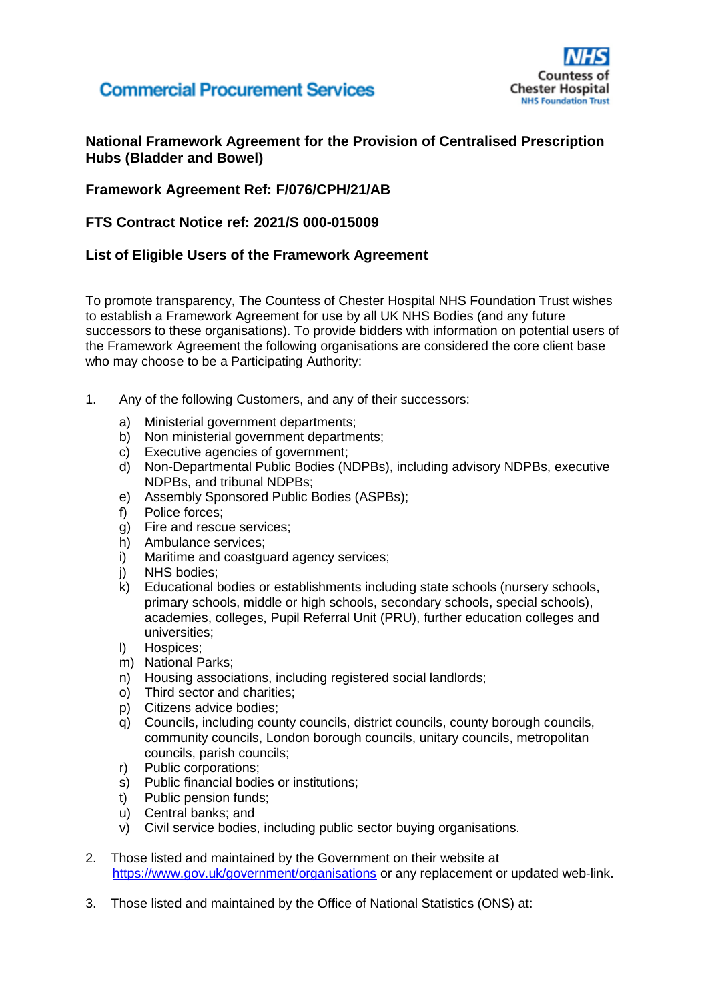## **Commercial Procurement Services**



**National Framework Agreement for the Provision of Centralised Prescription Hubs (Bladder and Bowel)**

### **Framework Agreement Ref: F/076/CPH/21/AB**

### **FTS Contract Notice ref: 2021/S 000-015009**

#### **List of Eligible Users of the Framework Agreement**

To promote transparency, The Countess of Chester Hospital NHS Foundation Trust wishes to establish a Framework Agreement for use by all UK NHS Bodies (and any future successors to these organisations). To provide bidders with information on potential users of the Framework Agreement the following organisations are considered the core client base who may choose to be a Participating Authority:

- 1. Any of the following Customers, and any of their successors:
	- a) Ministerial government departments;
	- b) Non ministerial government departments;
	- c) Executive agencies of government;
	- d) Non-Departmental Public Bodies (NDPBs), including advisory NDPBs, executive NDPBs, and tribunal NDPBs;
	- e) Assembly Sponsored Public Bodies (ASPBs);
	- f) Police forces;
	- g) Fire and rescue services;
	- h) Ambulance services;
	- i) Maritime and coastguard agency services:
	- j) NHS bodies;
	- k) Educational bodies or establishments including state schools (nursery schools, primary schools, middle or high schools, secondary schools, special schools), academies, colleges, Pupil Referral Unit (PRU), further education colleges and universities;
	- l) Hospices;
	- m) National Parks;
	- n) Housing associations, including registered social landlords;
	- o) Third sector and charities;
	- p) Citizens advice bodies;
	- q) Councils, including county councils, district councils, county borough councils, community councils, London borough councils, unitary councils, metropolitan councils, parish councils;
	- r) Public corporations;
	- s) Public financial bodies or institutions;
	- t) Public pension funds;
	- u) Central banks; and
	- v) Civil service bodies, including public sector buying organisations.
- 2. Those listed and maintained by the Government on their website at <https://www.gov.uk/government/organisations> or any replacement or updated web-link.
- 3. Those listed and maintained by the Office of National Statistics (ONS) at: